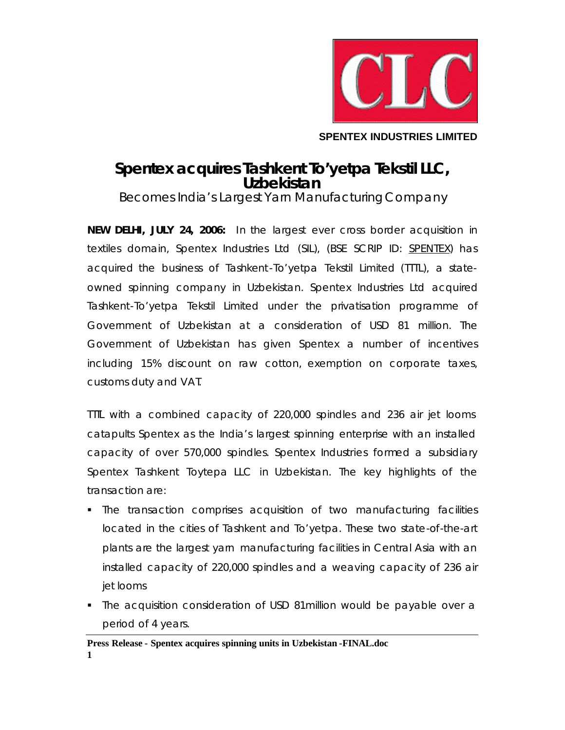

**SPENTEX INDUSTRIES LIMITED**

## **Spentex acquires Tashkent To'yetpa Tekstil LLC, Uzbekistan**

*Becomes India's Largest Yarn Manufacturing Company*

**NEW DELHI, JULY 24, 2006:** In the largest ever cross border acquisition in textiles domain, Spentex Industries Ltd (SIL), (BSE SCRIP ID: SPENTEX) has acquired the business of Tashkent-To'yetpa Tekstil Limited (TTTL), a stateowned spinning company in Uzbekistan. Spentex Industries Ltd acquired Tashkent-To'yetpa Tekstil Limited under the privatisation programme of Government of Uzbekistan at a consideration of USD 81 million. The Government of Uzbekistan has given Spentex a number of incentives including 15% discount on raw cotton, exemption on corporate taxes, customs duty and VAT.

TTTL with a combined capacity of 220,000 spindles and 236 air jet looms catapults Spentex as the India's largest spinning enterprise with an installed capacity of over 570,000 spindles. Spentex Industries formed a subsidiary Spentex Tashkent Toytepa LLC in Uzbekistan. The key highlights of the transaction are:

- The transaction comprises acquisition of two manufacturing facilities located in the cities of Tashkent and To'yetpa. These two state-of-the-art plants are the largest yarn manufacturing facilities in Central Asia with an installed capacity of 220,000 spindles and a weaving capacity of 236 air jet looms
- ß The acquisition consideration of USD 81million would be payable over a period of 4 years.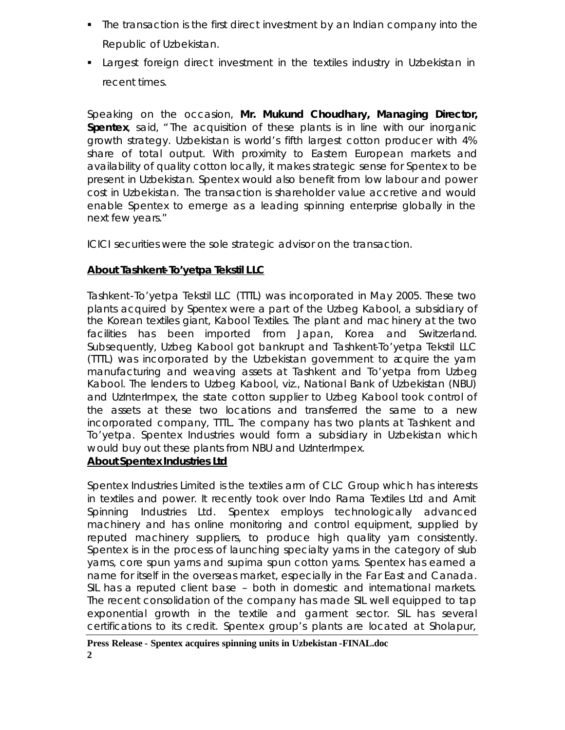- ß The transaction is the first direct investment by an Indian company into the Republic of Uzbekistan.
- ß Largest foreign direct investment in the textiles industry in Uzbekistan in recent times.

Speaking on the occasion, **Mr. Mukund Choudhary, Managing Director, Spentex**, said, " The acquisition of these plants is in line with our inorganic growth strategy. Uzbekistan is world's fifth largest cotton producer with 4% share of total output. With proximity to Eastern European markets and availability of quality cotton locally, it makes strategic sense for Spentex to be present in Uzbekistan. Spentex would also benefit from low labour and power cost in Uzbekistan. The transaction is shareholder value accretive and would enable Spentex to emerge as a leading spinning enterprise globally in the next few years."

ICICI securities were the sole strategic advisor on the transaction.

## **About Tashkent-To'yetpa Tekstil LLC**

Tashkent-To'yetpa Tekstil LLC (TTTL) was incorporated in May 2005. These two plants acquired by Spentex were a part of the Uzbeg Kabool, a subsidiary of the Korean textiles giant, Kabool Textiles. The plant and machinery at the two facilities has been imported from Japan, Korea and Switzerland. Subsequently, Uzbeg Kabool got bankrupt and Tashkent-To'yetpa Tekstil LLC (TTTL) was incorporated by the Uzbekistan government to acquire the yarn manufacturing and weaving assets at Tashkent and To'yetpa from Uzbeg Kabool. The lenders to Uzbeg Kabool, viz., National Bank of Uzbekistan (NBU) and UzInterImpex, the state cotton supplier to Uzbeg Kabool took control of the assets at these two locations and transferred the same to a new incorporated company, TTTL. The company has two plants at Tashkent and To'yetpa. Spentex Industries would form a subsidiary in Uzbekistan which would buy out these plants from NBU and UzInterImpex.

## *About Spentex Industries Ltd*

Spentex Industries Limited is the textiles arm of CLC Group which has interests in textiles and power. It recently took over Indo Rama Textiles Ltd and Amit Spinning Industries Ltd. Spentex employs technologically advanced machinery and has online monitoring and control equipment, supplied by reputed machinery suppliers, to produce high quality yarn consistently. Spentex is in the process of launching specialty yarns in the category of slub yarns, core spun yarns and supima spun cotton yarns. Spentex has earned a name for itself in the overseas market, especially in the Far East and Canada. SIL has a reputed client base – both in domestic and international markets. The recent consolidation of the company has made SIL well equipped to tap exponential growth in the textile and garment sector. SIL has several certifications to its credit. Spentex group's plants are located at Sholapur,